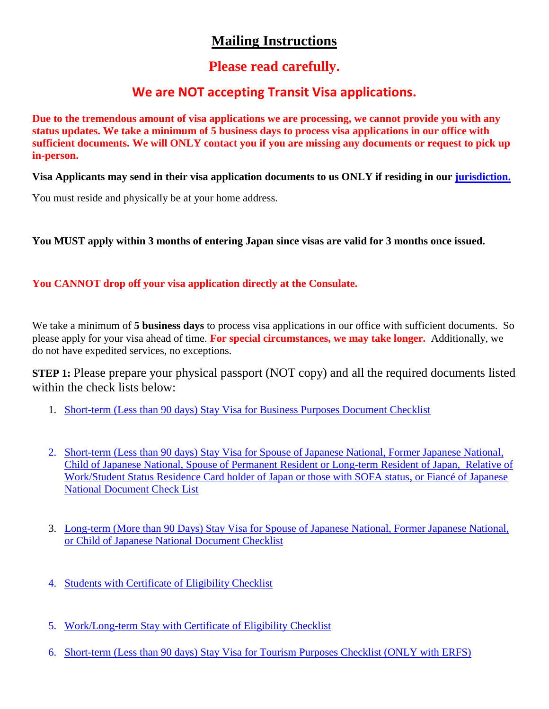# **Mailing Instructions**

## **Please read carefully.**

### **We are NOT accepting Transit Visa applications.**

**Due to the tremendous amount of visa applications we are processing, we cannot provide you with any status updates. We take a minimum of 5 business days to process visa applications in our office with sufficient documents. We will ONLY contact you if you are missing any documents or request to pick up in-person.** 

**Visa Applicants may send in their visa application documents to us ONLY if residing in our [jurisdiction.](https://www.sf.us.emb-japan.go.jp/itpr_en/e_m01_02_01.html)**

You must reside and physically be at your home address.

**You MUST apply within 3 months of entering Japan since visas are valid for 3 months once issued.** 

**You CANNOT drop off your visa application directly at the Consulate.**

We take a minimum of **5 business days** to process visa applications in our office with sufficient documents. So please apply for your visa ahead of time. **For special circumstances, we may take longer.** Additionally, we do not have expedited services, no exceptions.

**STEP 1:** Please prepare your physical passport (NOT copy) and all the required documents listed within the check lists below:

- 1. [Short-term \(Less than 90 days\) Stay Visa for Business Purposes Document Checklist](https://www.sf.us.emb-japan.go.jp/itpr_en/e_m02_01_04_03.html)
- 2. [Short-term \(Less than 90 days\) Stay Visa for Spouse of Japanese National, Former Japanese National,](https://www.sf.us.emb-japan.go.jp/itpr_en/e_m02_01_04_01.html)  [Child of Japanese National, Spouse of Permanent Resident or Long-term Resident of Japan, Relative of](https://www.sf.us.emb-japan.go.jp/itpr_en/e_m02_01_04_01.html)  [Work/Student Status Residence Card holder of Japan or those with SOFA status, or Fiancé of Japanese](https://www.sf.us.emb-japan.go.jp/itpr_en/e_m02_01_04_01.html)  National [Document Check List](https://www.sf.us.emb-japan.go.jp/itpr_en/e_m02_01_04_01.html)
- 3. [Long-term \(More than 90 Days\) Stay Visa for Spouse of Japanese National, Former Japanese National,](https://www.sf.us.emb-japan.go.jp/itpr_en/e_m02_01_03.html#Lt2J)  [or Child of Japanese National Document Checklist](https://www.sf.us.emb-japan.go.jp/itpr_en/e_m02_01_03.html#Lt2J)
- 4. [Students with Certificate of Eligibility Checklist](https://www.sf.us.emb-japan.go.jp/itpr_en/e_m02_01_03.html)
- 5. [Work/Long-term Stay with Certificate of Eligibility Checklist](https://www.sf.us.emb-japan.go.jp/itpr_en/e_m02_01_03.html)
- 6. [Short-term \(Less than 90 days\) Stay Visa for Tourism](https://www.sf.us.emb-japan.go.jp/itpr_en/e_m02_01_04_02.html) Purposes Checklist (ONLY with ERFS)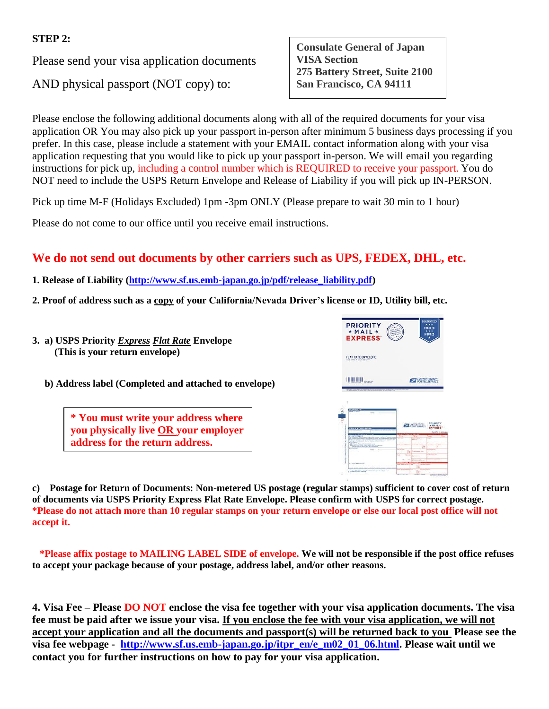#### **STEP 2:**

Please send your visa application documents

AND physical passport (NOT copy) to:

**Consulate General of Japan VISA Section 275 Battery Street, Suite 2100 San Francisco, CA 94111**

Please enclose the following additional documents along with all of the required documents for your visa application OR You may also pick up your passport in-person after minimum 5 business days processing if you prefer. In this case, please include a statement with your EMAIL contact information along with your visa application requesting that you would like to pick up your passport in-person. We will email you regarding instructions for pick up, including a control number which is REQUIRED to receive your passport. You do NOT need to include the USPS Return Envelope and Release of Liability if you will pick up IN-PERSON.

Pick up time M-F (Holidays Excluded) 1pm -3pm ONLY (Please prepare to wait 30 min to 1 hour)

Please do not come to our office until you receive email instructions.

### **We do not send out documents by other carriers such as UPS, FEDEX, DHL, etc.**

- **1. Release of Liability [\(http://www.sf.us.emb-japan.go.jp/pdf/release\\_liability.pdf\)](http://www.sf.us.emb-japan.go.jp/pdf/release_liability.pdf)**
- **2. Proof of address such as a copy of your California/Nevada Driver's license or ID, Utility bill, etc.**
- **3. a) USPS Priority** *Express Flat Rate* **Envelope (This is your return envelope)**



 **b) Address label (Completed and attached to envelope)** 

**\* You must write your address where you physically live OR your employer address for the return address.**

**c) Postage for Return of Documents: Non-metered US postage (regular stamps) sufficient to cover cost of return of documents via USPS Priority Express Flat Rate Envelope. Please confirm with USPS for correct postage. \*Please do not attach more than 10 regular stamps on your return envelope or else our local post office will not accept it.**

 **\*Please affix postage to MAILING LABEL SIDE of envelope. We will not be responsible if the post office refuses to accept your package because of your postage, address label, and/or other reasons.**

**4. Visa Fee – Please DO NOT enclose the visa fee together with your visa application documents. The visa fee must be paid after we issue your visa. If you enclose the fee with your visa application, we will not accept your application and all the documents and passport(s) will be returned back to you Please see the visa fee webpage - [http://www.sf.us.emb-japan.go.jp/itpr\\_en/e\\_m02\\_01\\_06.html.](http://www.sf.us.emb-japan.go.jp/itpr_en/e_m02_01_06.html) Please wait until we contact you for further instructions on how to pay for your visa application.**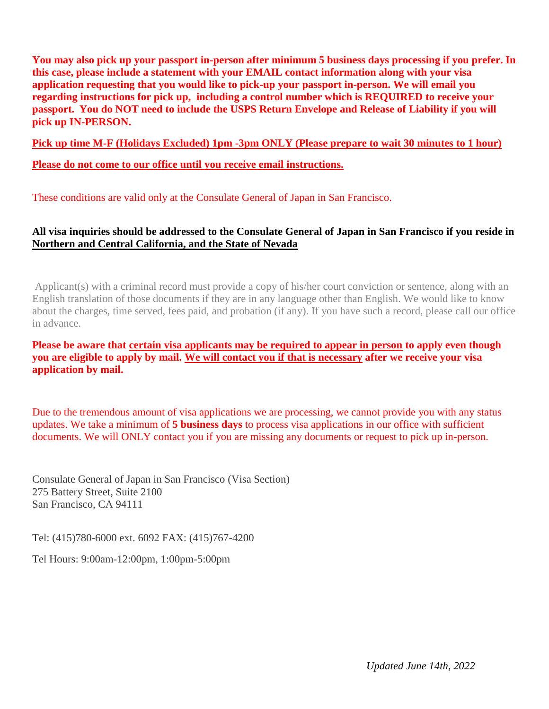**You may also pick up your passport in-person after minimum 5 business days processing if you prefer. In this case, please include a statement with your EMAIL contact information along with your visa application requesting that you would like to pick-up your passport in-person. We will email you regarding instructions for pick up, including a control number which is REQUIRED to receive your passport. You do NOT need to include the USPS Return Envelope and Release of Liability if you will pick up IN-PERSON.** 

**Pick up time M-F (Holidays Excluded) 1pm -3pm ONLY (Please prepare to wait 30 minutes to 1 hour)**

#### **Please do not come to our office until you receive email instructions.**

These conditions are valid only at the Consulate General of Japan in San Francisco.

#### **All visa inquiries should be addressed to the Consulate General of Japan in San Francisco if you reside in Northern and Central California, and the State of Nevada**

Applicant(s) with a criminal record must provide a copy of his/her court conviction or sentence, along with an English translation of those documents if they are in any language other than English. We would like to know about the charges, time served, fees paid, and probation (if any). If you have such a record, please call our office in advance.

#### **Please be aware that certain visa applicants may be required to appear in person to apply even though you are eligible to apply by mail. We will contact you if that is necessary after we receive your visa application by mail.**

Due to the tremendous amount of visa applications we are processing, we cannot provide you with any status updates. We take a minimum of **5 business days** to process visa applications in our office with sufficient documents. We will ONLY contact you if you are missing any documents or request to pick up in-person.

Consulate General of Japan in San Francisco (Visa Section) 275 Battery Street, Suite 2100 San Francisco, CA 94111

Tel: (415)780-6000 ext. 6092 FAX: (415)767-4200

Tel Hours: 9:00am-12:00pm, 1:00pm-5:00pm

*Updated June 14th, 2022*